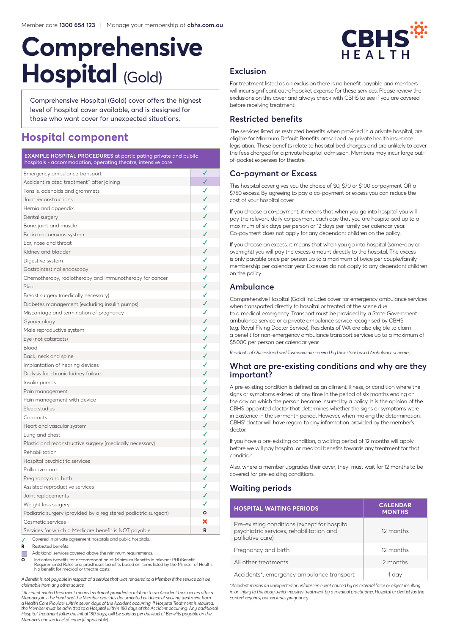# **Comprehensive Hospital** (Gold)

Comprehensive Hospital (Gold) cover offers the highest level of hospital cover available, and is designed for those who want cover for unexpected situations.

# **Hospital component**

#### **EXAMPLE HOSPITAL PROCEDURES** at participating private and public hospitals - accommodation, operating theatre, intensive care

| Emergency ambulance transport                                  | √            |  |
|----------------------------------------------------------------|--------------|--|
| Accident related treatment^ after joining                      |              |  |
| Tonsils, adenoids and grommets                                 | ✓            |  |
| Joint reconstructions                                          | ✓            |  |
| Hernia and appendix                                            | ✔            |  |
| Dental surgery                                                 | √            |  |
| Bone, joint and muscle                                         | ✓            |  |
| Brain and nervous system                                       | $\checkmark$ |  |
| Ear, nose and throat                                           | √            |  |
| Kidney and bladder                                             | ✓            |  |
| Digestive system                                               | ✓            |  |
| Gastrointestinal endoscopy                                     | $\checkmark$ |  |
| Chemotherapy, radiotherapy and immunotherapy for cancer        | ✔            |  |
| Skin                                                           | √            |  |
| Breast surgery (medically necessary)                           | ✓            |  |
| Diabetes management (excluding insulin pumps)                  | ✔            |  |
| Miscarriage and termination of pregnancy                       | ✓            |  |
| Gynaecology                                                    | ✔            |  |
| Male reproductive system                                       | ✓            |  |
| Eye (not cataracts)                                            | √            |  |
| Blood                                                          | ✔            |  |
| Back, neck and spine                                           | √            |  |
| Implantation of hearing devices                                | ✔            |  |
| Dialysis for chronic kidney failure                            | √            |  |
| Insulin pumps                                                  |              |  |
| Pain management                                                | √            |  |
| Pain management with device                                    | ✔            |  |
| Sleep studies                                                  |              |  |
| Cataracts                                                      | ✔            |  |
| Heart and vascular system                                      | ✓            |  |
| Lung and chest                                                 |              |  |
| Plastic and reconstructive surgery (medically necessary)       | √            |  |
| Rehabilitation                                                 | ✔            |  |
| Hospital psychiatric services                                  | √            |  |
| Palliative care                                                | ✓            |  |
| Pregnancy and birth                                            | √            |  |
| Assisted reproductive services                                 | ✔            |  |
| Joint replacements                                             | ✔            |  |
| Weight loss surgery                                            | ✔            |  |
| Podiatric surgery (provided by a registered podiatric surgeon) | $\circ$      |  |
| Cosmetic services                                              |              |  |
| Services for which a Medicare benefit is NOT payable           | R            |  |
| Covered in private agreement hospitals and public hospitals.   |              |  |

**<sup>R</sup>** Restricted benefits.

Additional services covered above the minimum requirements.

**O** Indicates benefits for accommodation at Minimum Benefits in relevant PHI (Benefit Requirements) Rules and prostheses benefits based on items listed by the Minister of Health. No benefit for medical or theatre costs.

*A Benefit is not payable in respect of a service that was rendered to a Member if the service can be claimable from any other source.*

*^Accident related treatment means treatment provided in relation to an Accident that occurs after a*  Member joins the Fund and the Member provides documented evidence of seeking treatment from<br>a Health Care Provider within seven days of the Accident occurring. If Hospital Treatment is required,<br>the Member must be admitted *Hospital Treatment (after the initial 180 days) will be paid as per the level of Benefits payable on the Member's chosen level of cover (if applicable).*



# **Exclusion**

For treatment listed as an exclusion there is no benefit payable and members will incur significant out-of-pocket expense for these services. Please review the exclusions on this cover and always check with CBHS to see if you are covered before receiving treatment.

# **Restricted benefits**

The services listed as restricted benefits when provided in a private hospital, are eligible for Minimum Default Benefits prescribed by private health insurance legislation. These benefits relate to hospital bed charges and are unlikely to cover the fees charged for a private hospital admission. Members may incur large outof-pocket expenses for theatre.

# **Co-payment or Excess**

This hospital cover gives you the choice of \$0, \$70 or \$100 co-payment OR a \$750 excess. By agreeing to pay a co-payment or excess you can reduce the cost of your hospital cover.

If you choose a co-payment, it means that when you go into hospital you will pay the relevant daily co-payment each day that you are hospitalised up to a maximum of six days per person or 12 days per family per calendar year. Co-payment does not apply for any dependant children on the policy.

If you choose an excess, it means that when you go into hospital (same-day or overnight) you will pay the excess amount directly to the hospital. The excess is only payable once per person up to a maximum of twice per couple/family membership per calendar year. Excesses do not apply to any dependant children on the policy.

# **Ambulance**

Comprehensive Hospital (Gold) includes cover for emergency ambulance services when transported directly to hospital or treated at the scene due to a medical emergency. Transport must be provided by a State Government ambulance service or a private ambulance service recognised by CBHS (e.g. Royal Flying Doctor Service). Residents of WA are also eligible to claim a benefit for non-emergency ambulance transport services up to a maximum of \$5,000 per person per calendar year.

*Residents of Queensland and Tasmania are covered by their state based Ambulance schemes.*

#### **What are pre-existing conditions and why are they important?**

A pre-existing condition is defined as an ailment, illness, or condition where the signs or symptoms existed at any time in the period of six months ending on the day on which the person became insured by a policy. It is the opinion of the CBHS appointed doctor that determines whether the signs or symptoms were in existence in the six-month period. However, when making the determination, CBHS' doctor will have regard to any information provided by the member's doctor.

If you have a pre-existing condition, a waiting period of 12 months will apply before we will pay hospital or medical benefits towards any treatment for that condition.

Also, where a member upgrades their cover, they must wait for 12 months to be covered for pre-existing conditions.

# **Waiting periods**

| <b>HOSPITAL WAITING PERIODS</b>                                                                              | <b>CALENDAR</b><br><b>MONTHS</b> |
|--------------------------------------------------------------------------------------------------------------|----------------------------------|
| Pre-existing conditions (except for hospital<br>psychiatric services, rehabilitation and<br>palliative care) | 12 months                        |
| Pregnancy and birth                                                                                          | 12 months                        |
| All other treatments                                                                                         | 2 months                         |
| Accidents*, emergency ambulance transport                                                                    | 1 day                            |

*\*Accident means an unexpected or unforeseen event caused by an external force or object resulting in an injury to the body which requires treatment by a medical practitioner, Hospital or dentist (as the context requires) but excludes pregnancy.*